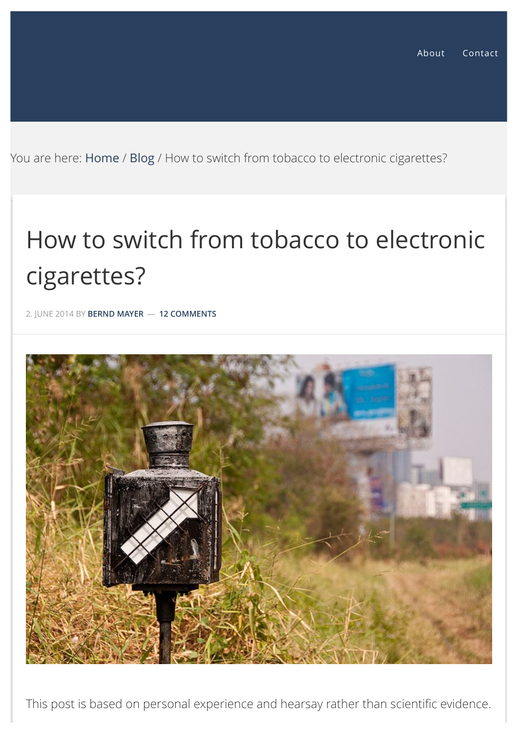You are here: [Home](http://www.bernd-mayer.com/) / [Blog](http://www.bernd-mayer.com/category/blog/) / How to switch from tobacco to electronic cigarettes?

# How to switch from tobacco to electronic cigarettes?

2. JUNE 2014 BY **[BERND MAYER](http://www.bernd-mayer.com/author/bernd/)** — **[12 COMMENTS](#page-3-0)**



This post is based on personal experience and hearsay rather than scientific evidence.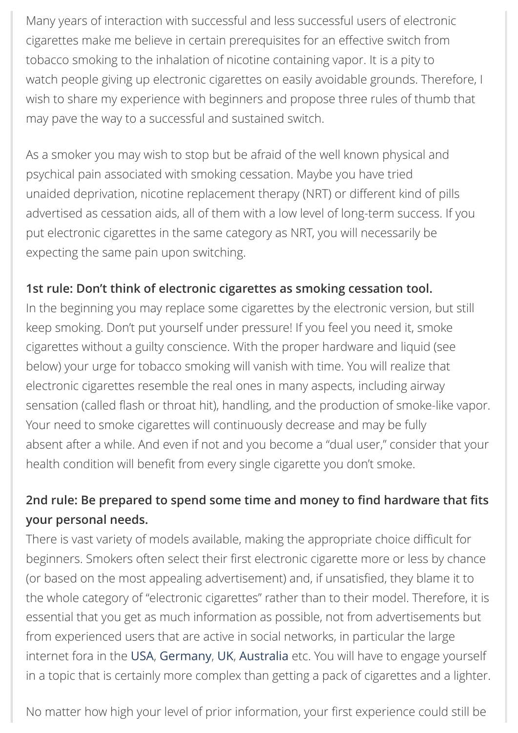Many years of interaction with successful and less successful users of electronic cigarettes make me believe in certain prerequisites for an effective switch from tobacco smoking to the inhalation of nicotine containing vapor. It is a pity to watch people giving up electronic cigarettes on easily avoidable grounds. Therefore, I wish to share my experience with beginners and propose three rules of thumb that may pave the way to a successful and sustained switch.

As a smoker you may wish to stop but be afraid of the well known physical and psychical pain associated with smoking cessation. Maybe you have tried unaided deprivation, nicotine replacement therapy (NRT) or different kind of pills advertised as cessation aids, all of them with a low level of long-term success. If you put electronic cigarettes in the same category as NRT, you will necessarily be expecting the same pain upon switching.

#### **1st rule: Don't think of electronic cigarettes as smoking cessation tool.**

In the beginning you may replace some cigarettes by the electronic version, but still keep smoking. Don't put yourself under pressure! If you feel you need it, smoke cigarettes without a guilty conscience. With the proper hardware and liquid (see below) your urge for tobacco smoking will vanish with time. You will realize that electronic cigarettes resemble the real ones in many aspects, including airway sensation (called flash or throat hit), handling, and the production of smoke-like vapor. Your need to smoke cigarettes will continuously decrease and may be fully absent after a while. And even if not and you become a "dual user," consider that your health condition will benefit from every single cigarette you don't smoke.

### **2nd rule: Be prepared to spend some time and money to find hardware that fits your personal needs.**

There is vast variety of models available, making the appropriate choice difficult for beginners. Smokers often select their first electronic cigarette more or less by chance (or based on the most appealing advertisement) and, if unsatisfied, they blame it to the whole category of "electronic cigarettes" rather than to their model. Therefore, it is essential that you get as much information as possible, not from advertisements but from experienced users that are active in social networks, in particular the large internet fora in the [USA](http://www.e-cigarette-forum.com/forum/), [Germany](http://www.e-rauchen-forum.de/), [UK](http://ukvapers.org/), [Australia](http://forums.aussievapers.com/activity.php) etc. You will have to engage yourself in a topic that is certainly more complex than getting a pack of cigarettes and a lighter.

No matter how high your level of prior information, your first experience could still be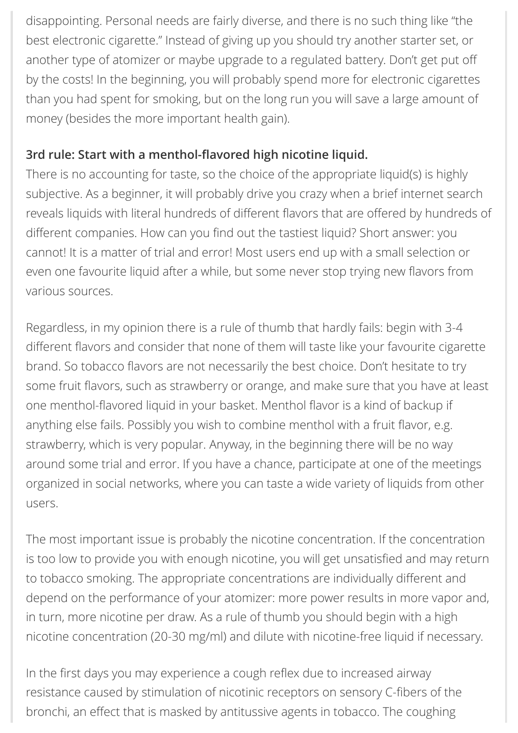disappointing. Personal needs are fairly diverse, and there is no such thing like "the best electronic cigarette." Instead of giving up you should try another starter set, or another type of atomizer or maybe upgrade to a regulated battery. Don't get put off by the costs! In the beginning, you will probably spend more for electronic cigarettes than you had spent for smoking, but on the long run you will save a large amount of money (besides the more important health gain).

#### **3rd rule: Start with a menthol-flavored high nicotine liquid.**

There is no accounting for taste, so the choice of the appropriate liquid(s) is highly subjective. As a beginner, it will probably drive you crazy when a brief internet search reveals liquids with literal hundreds of different flavors that are offered by hundreds of different companies. How can you find out the tastiest liquid? Short answer: you cannot! It is a matter of trial and error! Most users end up with a small selection or even one favourite liquid after a while, but some never stop trying new flavors from various sources.

Regardless, in my opinion there is a rule of thumb that hardly fails: begin with 3-4 different flavors and consider that none of them will taste like your favourite cigarette brand. So tobacco flavors are not necessarily the best choice. Don't hesitate to try some fruit flavors, such as strawberry or orange, and make sure that you have at least one menthol-flavored liquid in your basket. Menthol flavor is a kind of backup if anything else fails. Possibly you wish to combine menthol with a fruit flavor, e.g. strawberry, which is very popular. Anyway, in the beginning there will be no way around some trial and error. If you have a chance, participate at one of the meetings organized in social networks, where you can taste a wide variety of liquids from other users.

The most important issue is probably the nicotine concentration. If the concentration is too low to provide you with enough nicotine, you will get unsatisfied and may return to tobacco smoking. The appropriate concentrations are individually different and depend on the performance of your atomizer: more power results in more vapor and, in turn, more nicotine per draw. As a rule of thumb you should begin with a high nicotine concentration (20-30 mg/ml) and dilute with nicotine-free liquid if necessary.

In the first days you may experience a cough reflex due to increased airway resistance caused by stimulation of nicotinic receptors on sensory C-fibers of the bronchi, an effect that is masked by antitussive agents in tobacco. The coughing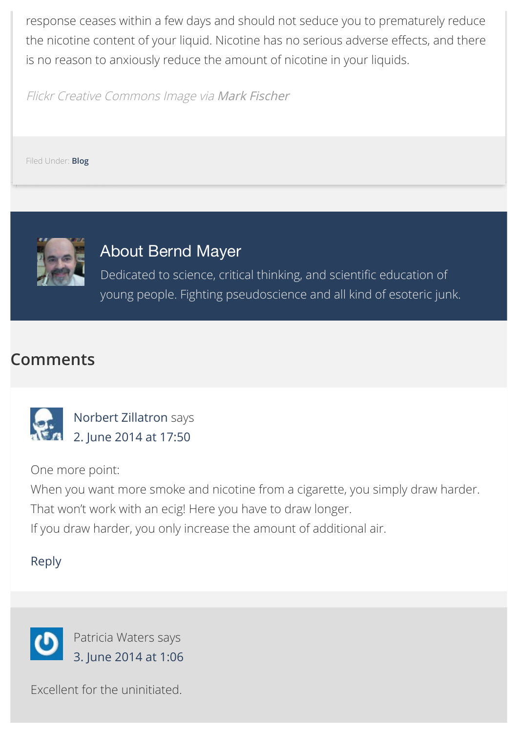response ceases within a few days and should not seduce you to prematurely reduce the nicotine content of your liquid. Nicotine has no serious adverse effects, and there is no reason to anxiously reduce the amount of nicotine in your liquids.

Flickr Creative Commons Image via [Mark Fischer](https://www.flickr.com/photos/fischerfotos/)

Filed Under: **[Blog](http://www.bernd-mayer.com/category/blog/)**



# About Bernd Mayer

Dedicated to science, critical thinking, and scientific education of young people. Fighting pseudoscience and all kind of esoteric junk.

# <span id="page-3-0"></span>**Comments**

<span id="page-3-1"></span>

[Norbert Zillatron](https://www.facebook.com/Zillatron) says [2. June 2014 at 17:50](#page-3-1)

One more point:

When you want more smoke and nicotine from a cigarette, you simply draw harder. That won't work with an ecig! Here you have to draw longer.

If you draw harder, you only increase the amount of additional air.

#### [Reply](http://www.bernd-mayer.com/how-to-switch-from-tobacco-to-electronic-cigarettes/?replytocom=3#respond)

<span id="page-3-2"></span>

Excellent for the uninitiated.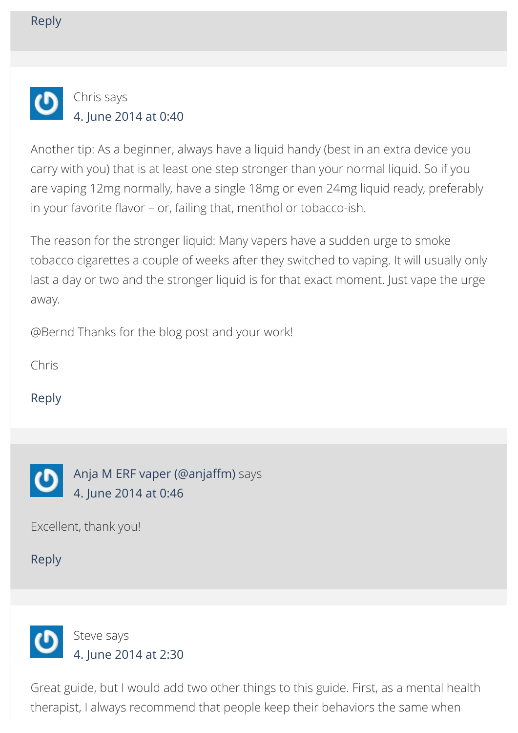<span id="page-4-0"></span>

Another tip: As a beginner, always have a liquid handy (best in an extra device you carry with you) that is at least one step stronger than your normal liquid. So if you are vaping 12mg normally, have a single 18mg or even 24mg liquid ready, preferably in your favorite flavor – or, failing that, menthol or tobacco-ish.

The reason for the stronger liquid: Many vapers have a sudden urge to smoke tobacco cigarettes a couple of weeks after they switched to vaping. It will usually only last a day or two and the stronger liquid is for that exact moment. Just vape the urge away.

@Bernd Thanks for the blog post and your work!

Chris

[Reply](http://www.bernd-mayer.com/how-to-switch-from-tobacco-to-electronic-cigarettes/?replytocom=8#respond)

<span id="page-4-1"></span>

Excellent, thank you!

[Reply](http://www.bernd-mayer.com/how-to-switch-from-tobacco-to-electronic-cigarettes/?replytocom=9#respond)

<span id="page-4-2"></span>

Great guide, but I would add two other things to this guide. First, as a mental health therapist, I always recommend that people keep their behaviors the same when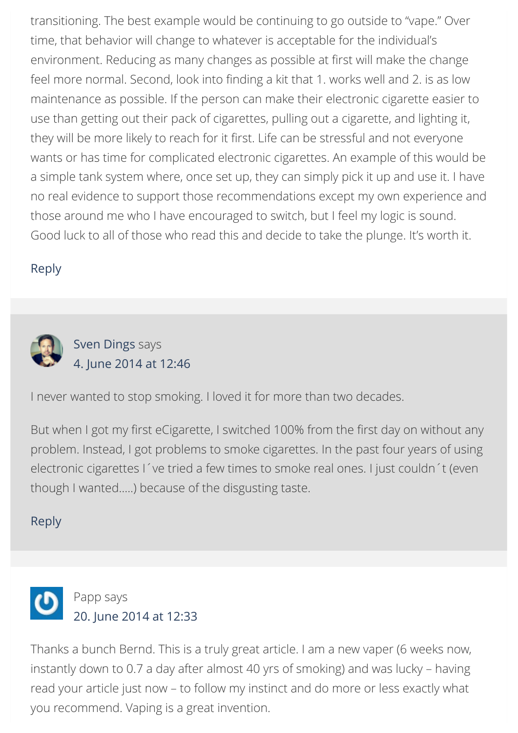transitioning. The best example would be continuing to go outside to "vape." Over time, that behavior will change to whatever is acceptable for the individual's environment. Reducing as many changes as possible at first will make the change feel more normal. Second, look into finding a kit that 1. works well and 2. is as low maintenance as possible. If the person can make their electronic cigarette easier to use than getting out their pack of cigarettes, pulling out a cigarette, and lighting it, they will be more likely to reach for it first. Life can be stressful and not everyone wants or has time for complicated electronic cigarettes. An example of this would be a simple tank system where, once set up, they can simply pick it up and use it. I have no real evidence to support those recommendations except my own experience and those around me who I have encouraged to switch, but I feel my logic is sound. Good luck to all of those who read this and decide to take the plunge. It's worth it.

#### [Reply](http://www.bernd-mayer.com/how-to-switch-from-tobacco-to-electronic-cigarettes/?replytocom=10#respond)

<span id="page-5-0"></span>

[Sven Dings](https://plus.google.com/+SvenDings) says [4. June 2014 at 12:46](#page-5-0)

I never wanted to stop smoking. I loved it for more than two decades.

But when I got my first eCigarette, I switched 100% from the first day on without any problem. Instead, I got problems to smoke cigarettes. In the past four years of using electronic cigarettes I´ve tried a few times to smoke real ones. I just couldn´t (even though I wanted…..) because of the disgusting taste.

#### [Reply](http://www.bernd-mayer.com/how-to-switch-from-tobacco-to-electronic-cigarettes/?replytocom=11#respond)

<span id="page-5-1"></span>

Thanks a bunch Bernd. This is a truly great article. I am a new vaper (6 weeks now, instantly down to 0.7 a day after almost 40 yrs of smoking) and was lucky – having read your article just now – to follow my instinct and do more or less exactly what you recommend. Vaping is a great invention.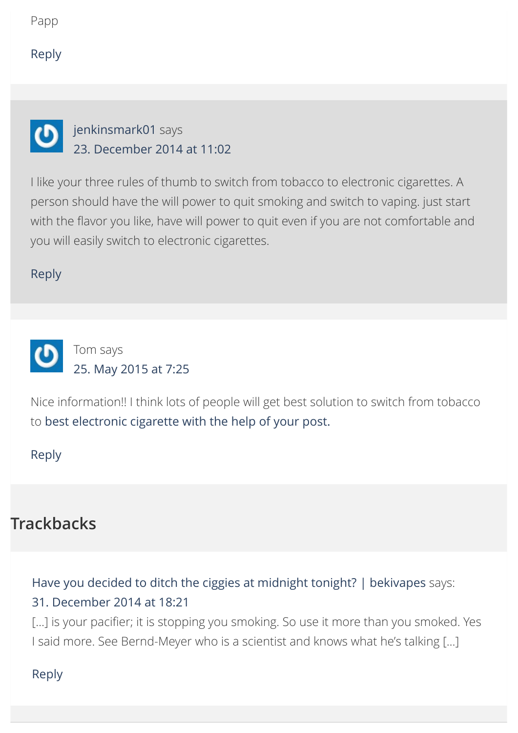#### [Reply](http://www.bernd-mayer.com/how-to-switch-from-tobacco-to-electronic-cigarettes/?replytocom=32#respond)

<span id="page-6-0"></span>

### [jenkinsmark01](http://www.clickacig.com/) says [23. December 2014 at 11:02](#page-6-0)

I like your three rules of thumb to switch from tobacco to electronic cigarettes. A person should have the will power to quit smoking and switch to vaping. just start with the flavor you like, have will power to quit even if you are not comfortable and you will easily switch to electronic cigarettes.

[Reply](http://www.bernd-mayer.com/how-to-switch-from-tobacco-to-electronic-cigarettes/?replytocom=2855#respond)

<span id="page-6-1"></span>

Nice information!! I think lots of people will get best solution to switch from tobacco to [best electronic cigarette](http://planeteon.in/) with the help of your post.

[Reply](http://www.bernd-mayer.com/how-to-switch-from-tobacco-to-electronic-cigarettes/?replytocom=4297#respond)

# **Trackbacks**

# <span id="page-6-2"></span>[Have you decided to ditch the ciggies at midnight tonight? | bekivapes](https://bekivapes.wordpress.com/2014/12/31/have-you-decided-to-ditch-the-ciggies-at-midnight-tonight/) says: [31. December 2014 at 18:21](#page-6-2)

[...] is your pacifier; it is stopping you smoking. So use it more than you smoked. Yes I said more. See Bernd-Meyer who is a scientist and knows what he's talking […]

#### <span id="page-6-3"></span>[Reply](http://www.bernd-mayer.com/how-to-switch-from-tobacco-to-electronic-cigarettes/?replytocom=2968#respond)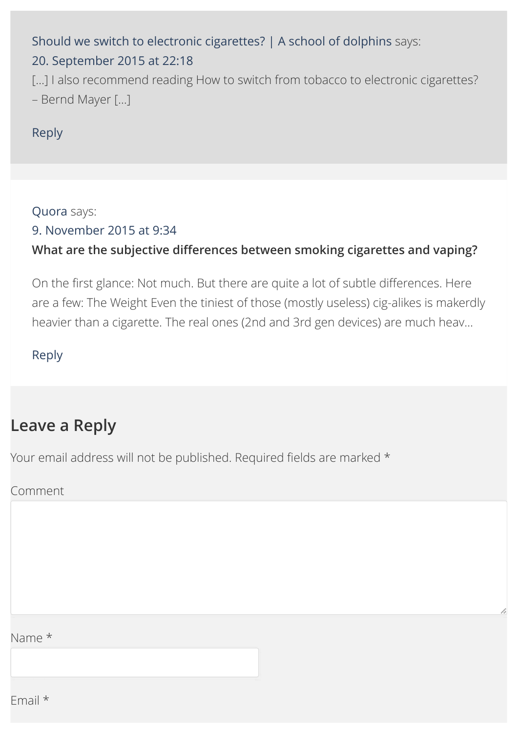# [Should we switch to electronic cigarettes? | A school of dolphins](https://schoolofdolphins.wordpress.com/2015/09/20/should-we-switch-to-electronic-cigarettes/) says: [20. September 2015 at 22:18](#page-6-3)

[...] I also recommend reading How to switch from tobacco to electronic cigarettes? – Bernd Mayer […]

#### [Reply](http://www.bernd-mayer.com/how-to-switch-from-tobacco-to-electronic-cigarettes/?replytocom=5396#respond)

#### <span id="page-7-0"></span>[Quora](https://www.quora.com/What-are-the-subjective-differences-between-smoking-cigarettes-and-vaping#ans16872242) says:

#### [9. November 2015 at 9:34](#page-7-0)

### **What are the subjective differences between smoking cigarettes and vaping?**

On the first glance: Not much. But there are quite a lot of subtle differences. Here are a few: The Weight Even the tiniest of those (mostly useless) cig-alikes is makerdly heavier than a cigarette. The real ones (2nd and 3rd gen devices) are much heav…

#### [Reply](http://www.bernd-mayer.com/how-to-switch-from-tobacco-to-electronic-cigarettes/?replytocom=5753#respond)

# **Leave a Reply**

Your email address will not be published. Required fields are marked \*

#### Comment

#### Name \*

Email \*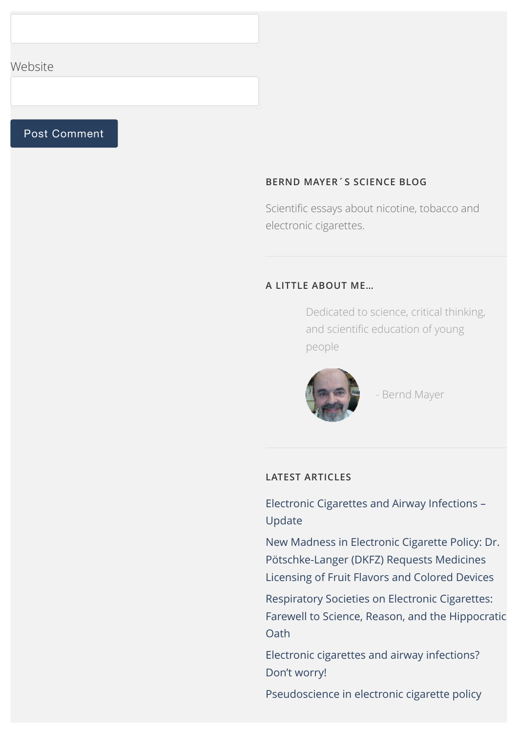#### Website

#### Post Comment

#### **BERND MAYER´S SCIENCE BLOG**

Scientific essays about nicotine, tobacco and electronic cigarettes.

#### **A LITTLE ABOUT ME…**

Dedicated to science, critical thinking, and scientific education of young people



- Bernd Mayer

#### **LATEST ARTICLES**

[Electronic Cigarettes and Airway Infections –](http://www.bernd-mayer.com/electronic-cigarettes-airway-infections-update/) Update

[New Madness in Electronic Cigarette Policy: Dr.](http://www.bernd-mayer.com/new-electronic-cigarette-madness-dr-potschke-langer-dkfz-requests-medicines-licensing-fruit-flavors-colored-devices/) Pötschke-Langer (DKFZ) Requests Medicines Licensing of Fruit Flavors and Colored Devices

Respiratory Societies on Electronic Cigarettes: [Farewell to Science, Reason, and the Hippocratic](http://www.bernd-mayer.com/respiratory-societies-electronic-cigarettes-farewell-science-reason-hippocratic-oath/) **Oath** 

[Electronic cigarettes and airway infections?](http://www.bernd-mayer.com/electronic-cigarettes-airway-infection-dont-worry/) Don't worry!

[Pseudoscience in electronic cigarette policy](http://www.bernd-mayer.com/pseudoscience-electronic-cigarette-policy/)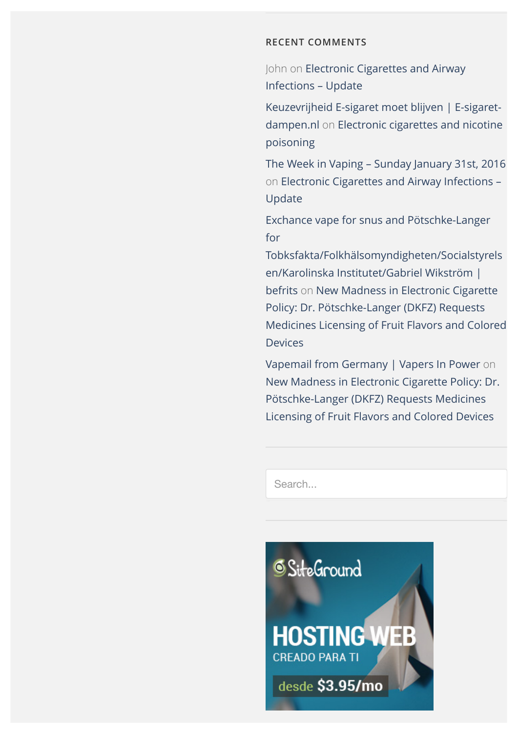#### **RECENT COMMENTS**

John on [Electronic Cigarettes and Airway](http://www.bernd-mayer.com/electronic-cigarettes-airway-infections-update/#comment-6609) Infections – Update

[Keuzevrijheid E-sigaret moet blijven | E-sigaret](http://e-sigaret-dampen.nl/e-sigaret/keuzevrijheid-e-sigaret/)dampen.nl on [Electronic cigarettes and nicotine](http://www.bernd-mayer.com/electronic-cigarettes-and-nicotine-poisoning/#comment-6557) poisoning

[The Week in Vaping – Sunday January 31st, 2016](http://ecigarettereviewed.com/the-week-in-vaping-january-31st-2016) on [Electronic Cigarettes and Airway Infections –](http://www.bernd-mayer.com/electronic-cigarettes-airway-infections-update/#comment-6155) Update

Exchance vape for snus and Pötschke-Langer for

[Tobksfakta/Folkhälsomyndigheten/Socialstyrels](https://befrits.wordpress.com/2015/12/04/exchance-vape-for-snus-and-potschke-langer-for-tobksfaktafolkhalsomyndighetensocialstyrelsenkarolinska-institutetgabriel-wikstrom/) en/Karolinska Institutet/Gabriel Wikström | befrits on New Madness in Electronic Cigarette Policy: Dr. Pötschke-Langer (DKFZ) Requests [Medicines Licensing of Fruit Flavors and Colored](http://www.bernd-mayer.com/new-electronic-cigarette-madness-dr-potschke-langer-dkfz-requests-medicines-licensing-fruit-flavors-colored-devices/#comment-5825) Devices

[Vapemail from Germany | Vapers In Power](https://vapersinpower.wordpress.com/2015/12/01/vapemail-from-germany/) on [New Madness in Electronic Cigarette Policy: Dr.](http://www.bernd-mayer.com/new-electronic-cigarette-madness-dr-potschke-langer-dkfz-requests-medicines-licensing-fruit-flavors-colored-devices/#comment-5812) Pötschke-Langer (DKFZ) Requests Medicines Licensing of Fruit Flavors and Colored Devices

Search...